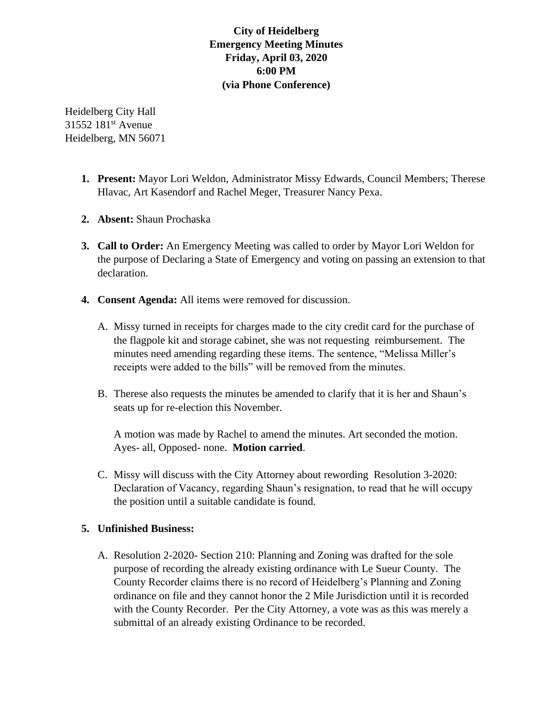## **City of Heidelberg Emergency Meeting Minutes Friday, April 03, 2020 6:00 PM (via Phone Conference)**

Heidelberg City Hall 31552 181<sup>st</sup> Avenue Heidelberg, MN 56071

- **1. Present:** Mayor Lori Weldon, Administrator Missy Edwards, Council Members; Therese Hlavac, Art Kasendorf and Rachel Meger, Treasurer Nancy Pexa.
- **2. Absent:** Shaun Prochaska
- **3. Call to Order:** An Emergency Meeting was called to order by Mayor Lori Weldon for the purpose of Declaring a State of Emergency and voting on passing an extension to that declaration.
- **4. Consent Agenda:** All items were removed for discussion.
	- A. Missy turned in receipts for charges made to the city credit card for the purchase of the flagpole kit and storage cabinet, she was not requesting reimbursement. The minutes need amending regarding these items. The sentence, "Melissa Miller's receipts were added to the bills" will be removed from the minutes.
	- B. Therese also requests the minutes be amended to clarify that it is her and Shaun's seats up for re-election this November.

A motion was made by Rachel to amend the minutes. Art seconded the motion. Ayes- all, Opposed- none. **Motion carried**.

C. Missy will discuss with the City Attorney about rewording Resolution 3-2020: Declaration of Vacancy, regarding Shaun's resignation, to read that he will occupy the position until a suitable candidate is found.

## **5. Unfinished Business:**

A. Resolution 2-2020- Section 210: Planning and Zoning was drafted for the sole purpose of recording the already existing ordinance with Le Sueur County. The County Recorder claims there is no record of Heidelberg's Planning and Zoning ordinance on file and they cannot honor the 2 Mile Jurisdiction until it is recorded with the County Recorder. Per the City Attorney, a vote was as this was merely a submittal of an already existing Ordinance to be recorded.